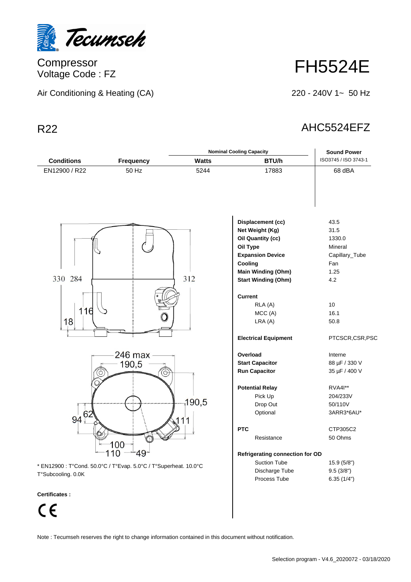

**Compressor** Voltage Code : FZ

| Air Conditioning & Heating (CA) |  |  |
|---------------------------------|--|--|
|                                 |  |  |

FH5524E

220 - 240V 1~ 50 Hz

## R22 AHC5524EFZ

|                    |                                                                              | <b>Nominal Cooling Capacity</b>                                                          |                                                                                                                                                                        | <b>Sound Power</b>                                                        |
|--------------------|------------------------------------------------------------------------------|------------------------------------------------------------------------------------------|------------------------------------------------------------------------------------------------------------------------------------------------------------------------|---------------------------------------------------------------------------|
| <b>Conditions</b>  | <b>Frequency</b>                                                             | <b>Watts</b>                                                                             | BTU/h                                                                                                                                                                  | ISO3745 / ISO 3743-1                                                      |
| EN12900 / R22      | 50 Hz                                                                        | 5244                                                                                     | 17883                                                                                                                                                                  | 68 dBA                                                                    |
| 330 284            |                                                                              | 312                                                                                      | Displacement (cc)<br>Net Weight (Kg)<br><b>Oil Quantity (cc)</b><br>Oil Type<br><b>Expansion Device</b><br>Cooling<br>Main Winding (Ohm)<br><b>Start Winding (Ohm)</b> | 43.5<br>31.5<br>1330.0<br>Mineral<br>Capillary_Tube<br>Fan<br>1.25<br>4.2 |
| 116<br>18          |                                                                              |                                                                                          | <b>Current</b><br>RLA (A)<br>MCC(A)<br>LRA(A)<br><b>Electrical Equipment</b>                                                                                           | 10 <sup>1</sup><br>16.1<br>50.8<br>PTCSCR,CSR,PSC                         |
|                    | $246$ max<br>190,5<br>$\circ$                                                |                                                                                          | Overload<br><b>Start Capacitor</b><br><b>Run Capacitor</b>                                                                                                             | Interne<br>88 µF / 330 V<br>35 µF / 400 V                                 |
| 62<br>94           |                                                                              | ,190,5<br>111                                                                            | <b>Potential Relay</b><br>Pick Up<br>Drop Out<br>Optional                                                                                                              | RVA4I**<br>204/233V<br>50/110V<br>3ARR3*6AU*                              |
|                    | 00                                                                           |                                                                                          | <b>PTC</b><br>Resistance                                                                                                                                               | CTP305C2<br>50 Ohms                                                       |
| T°Subcooling. 0.0K | 49<br>10<br>* EN12900 : T°Cond. 50.0°C / T°Evap. 5.0°C / T°Superheat. 10.0°C | Refrigerating connection for OD<br><b>Suction Tube</b><br>Discharge Tube<br>Process Tube | 15.9(5/8")<br>9.5(3/8")<br>6.35(1/4")                                                                                                                                  |                                                                           |

**Certificates :**

 $C \in$ 

Note : Tecumseh reserves the right to change information contained in this document without notification.